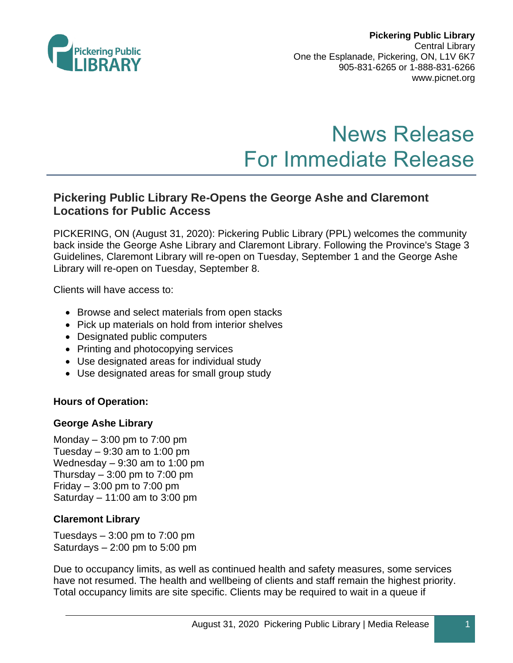

# News Release For Immediate Release

## **Pickering Public Library Re-Opens the George Ashe and Claremont Locations for Public Access**

PICKERING, ON (August 31, 2020): Pickering Public Library (PPL) welcomes the community back inside the George Ashe Library and Claremont Library. Following the Province's Stage 3 Guidelines, Claremont Library will re-open on Tuesday, September 1 and the George Ashe Library will re-open on Tuesday, September 8.

Clients will have access to:

- Browse and select materials from open stacks
- Pick up materials on hold from interior shelves
- Designated public computers
- Printing and photocopying services
- Use designated areas for individual study
- Use designated areas for small group study

#### **Hours of Operation:**

#### **George Ashe Library**

Monday  $-3:00$  pm to  $7:00$  pm Tuesday  $-9:30$  am to 1:00 pm Wednesday  $-9:30$  am to 1:00 pm Thursday  $-3:00$  pm to 7:00 pm Friday  $-3:00$  pm to  $7:00$  pm Saturday  $-11:00$  am to 3:00 pm

#### **Claremont Library**

Tuesdays  $-3:00$  pm to  $7:00$  pm Saturdays – 2:00 pm to 5:00 pm

Due to occupancy limits, as well as continued health and safety measures, some services have not resumed. The health and wellbeing of clients and staff remain the highest priority. Total occupancy limits are site specific. Clients may be required to wait in a queue if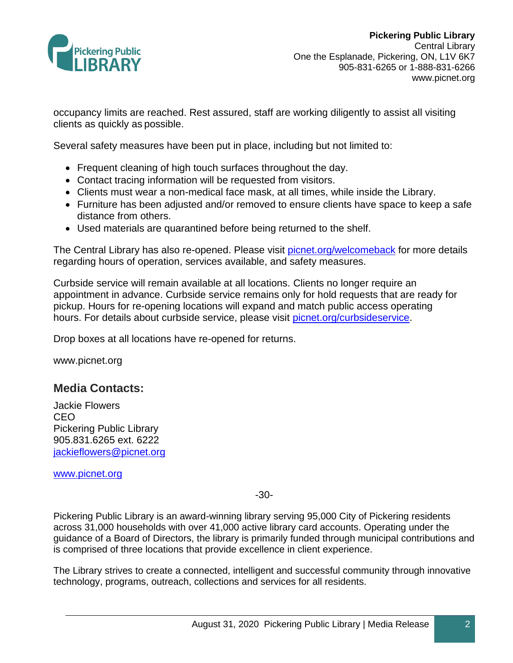

occupancy limits are reached. Rest assured, staff are working diligently to assist all visiting clients as quickly as possible.

Several safety measures have been put in place, including but not limited to:

- Frequent cleaning of high touch surfaces throughout the day.
- Contact tracing information will be requested from visitors.
- Clients must wear a non-medical face mask, at all times, while inside the Library.
- Furniture has been adjusted and/or removed to ensure clients have space to keep a safe distance from others.
- Used materials are quarantined before being returned to the shelf.

The Central Library has also re-opened. Please visit [picnet.org/welcomeback](http://www.picnet.org/welcomeback) for more details regarding hours of operation, services available, and safety measures.

Curbside service will remain available at all locations. Clients no longer require an appointment in advance. Curbside service remains only for hold requests that are ready for pickup. Hours for re-opening locations will expand and match public access operating hours. For details about curbside service, please visit [picnet.org/curbsideservice.](http://www.picnet.org/curbsideservice)

Drop boxes at all locations have re-opened for returns.

www.picnet.org

### **Media Contacts:**

Jackie Flowers CEO Pickering Public Library 905.831.6265 ext. 6222 [jackieflowers@picnet.org](mailto:jackieflowers@picnet.org)

[www.picnet.org](http://www.picnet.org/)

-30-

Pickering Public Library is an award-winning library serving 95,000 City of Pickering residents across 31,000 households with over 41,000 active library card accounts. Operating under the guidance of a Board of Directors, the library is primarily funded through municipal contributions and is comprised of three locations that provide excellence in client experience.

The Library strives to create a connected, intelligent and successful community through innovative technology, programs, outreach, collections and services for all residents.